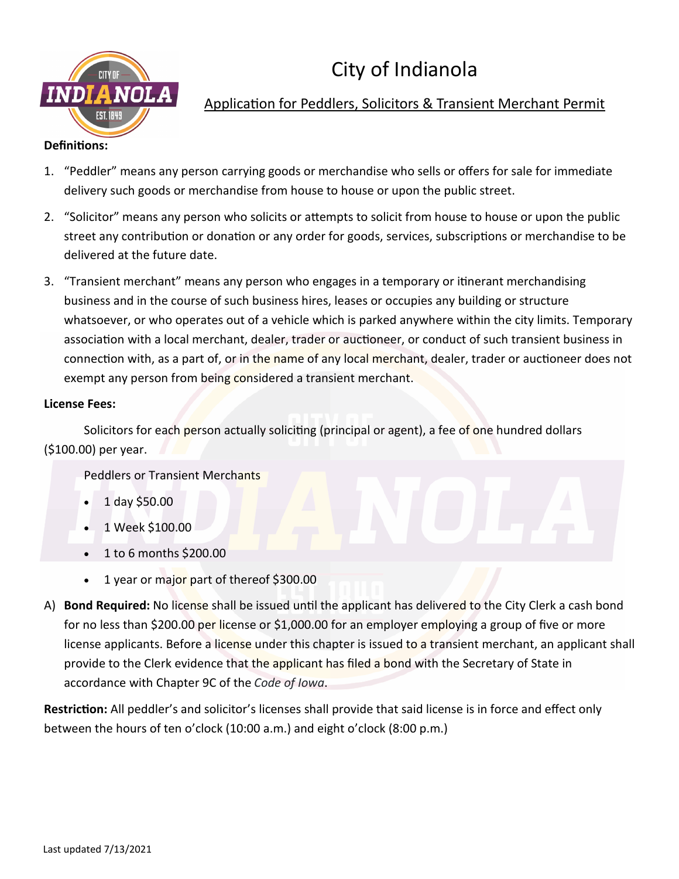

### Application for Peddlers, Solicitors & Transient Merchant Permit

- 1. "Peddler" means any person carrying goods or merchandise who sells or offers for sale for immediate delivery such goods or merchandise from house to house or upon the public street.
- 2. "Solicitor" means any person who solicits or attempts to solicit from house to house or upon the public street any contribution or donation or any order for goods, services, subscriptions or merchandise to be delivered at the future date.
- 3. "Transient merchant" means any person who engages in a temporary or itinerant merchandising business and in the course of such business hires, leases or occupies any building or structure whatsoever, or who operates out of a vehicle which is parked anywhere within the city limits. Temporary association with a local merchant, dealer, trader or auctioneer, or conduct of such transient business in connection with, as a part of, or in the name of any local merchant, dealer, trader or auctioneer does not exempt any person from being considered a transient merchant.

#### **License Fees:**

Solicitors for each person actually soliciting (principal or agent), a fee of one hundred dollars (\$100.00) per year.

Peddlers or Transient Merchants

- 1 day \$50.00
- 1 Week \$100.00
- 1 to 6 months \$200.00
- 1 year or major part of thereof \$300.00
- A) **Bond Required:** No license shall be issued until the applicant has delivered to the City Clerk a cash bond for no less than \$200.00 per license or \$1,000.00 for an employer employing a group of five or more license applicants. Before a license under this chapter is issued to a transient merchant, an applicant shall provide to the Clerk evidence that the applicant has filed a bond with the Secretary of State in accordance with Chapter 9C of the *Code of Iowa*.

**Restriction:** All peddler's and solicitor's licenses shall provide that said license is in force and effect only between the hours of ten o'clock (10:00 a.m.) and eight o'clock (8:00 p.m.)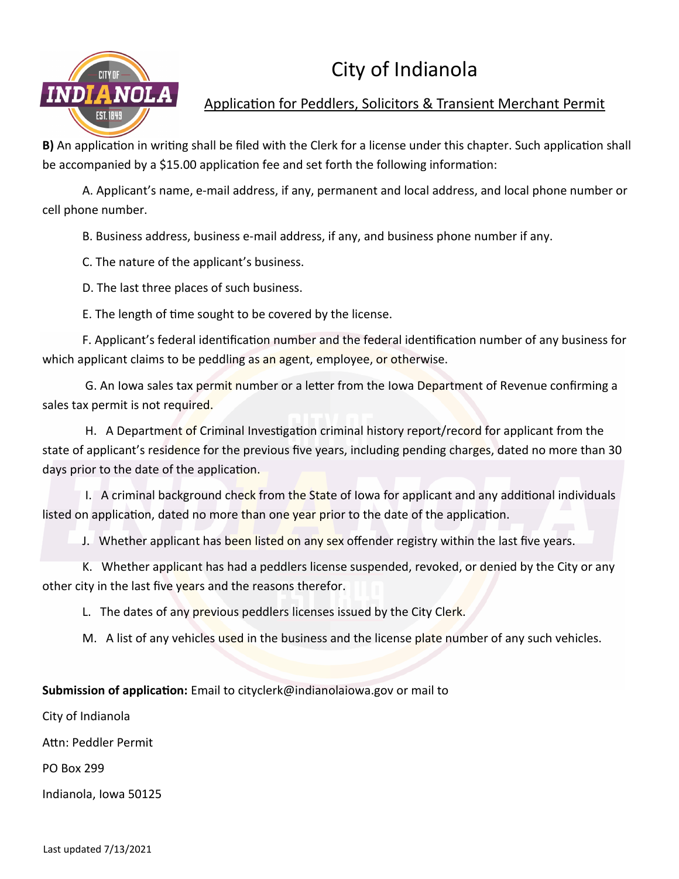

Application for Peddlers, Solicitors & Transient Merchant Permit

**B)** An application in writing shall be filed with the Clerk for a license under this chapter. Such application shall be accompanied by a \$15.00 application fee and set forth the following information:

A. Applicant's name, e-mail address, if any, permanent and local address, and local phone number or cell phone number.

B. Business address, business e-mail address, if any, and business phone number if any.

C. The nature of the applicant's business.

D. The last three places of such business.

E. The length of time sought to be covered by the license.

F. Applicant's federal identification number and the federal identification number of any business for which applicant claims to be peddling as an agent, employee, or otherwise.

G. An Iowa sales tax permit number or a letter from the Iowa Department of Revenue confirming a sales tax permit is not required.

H. A Department of Criminal Investigation criminal history report/record for applicant from the state of applicant's residence for the previous five years, including pending charges, dated no more than 30 days prior to the date of the application.

I. A criminal background check from the State of Iowa for applicant and any additional individuals listed on application, dated no more than one year prior to the date of the application.

J. Whether applicant has been listed on any sex offender registry within the last five years.

K. Whether applicant has had a peddlers license suspended, revoked, or denied by the City or any other city in the last five years and the reasons therefor.

L. The dates of any previous peddlers licenses issued by the City Clerk.

M. A list of any vehicles used in the business and the license plate number of any such vehicles.

**Submission of application:** Email to cityclerk@indianolaiowa.gov or mail to

City of Indianola

Attn: Peddler Permit

PO Box 299

Indianola, Iowa 50125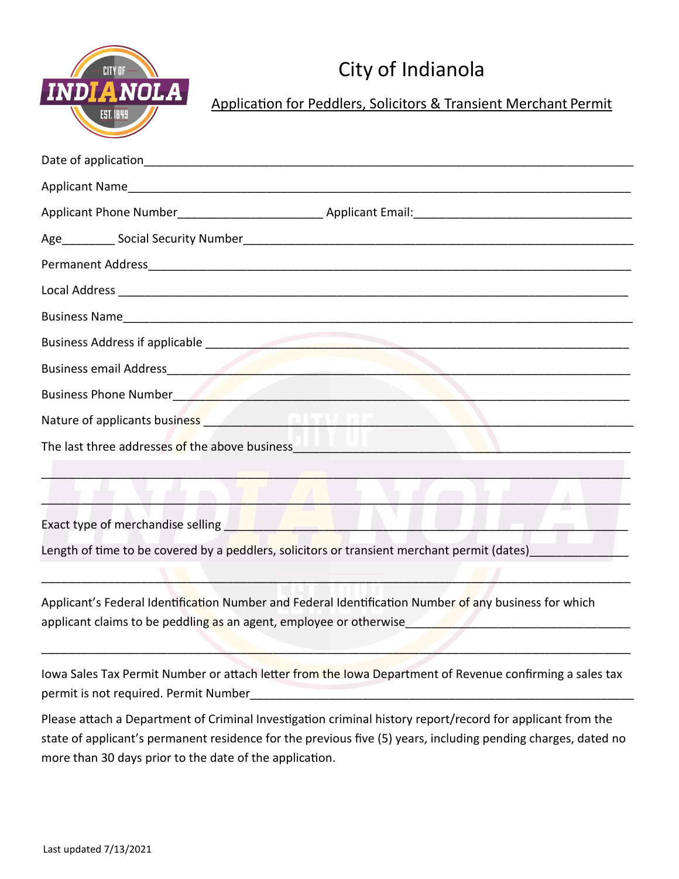

Application for Peddlers, Solicitors & Transient Merchant Permit

| Business email Address et al. 2003. The contract of the contract of the contract of the contract of the contract of the contract of the contract of the contract of the contract of the contract of the contract of the contra |
|--------------------------------------------------------------------------------------------------------------------------------------------------------------------------------------------------------------------------------|
| Business Phone Number 2008 Company of the Company of the Company of the Company of the Company of the Company of the Company of the Company of the Company of the Company of the Company of the Company of the Company of the  |
| Nature of applicants business <b>contract to the contract of the contract of a set of a</b>                                                                                                                                    |
|                                                                                                                                                                                                                                |
|                                                                                                                                                                                                                                |
|                                                                                                                                                                                                                                |
| Exact type of merchandise selling and the contract of the contract of the contract of the contract of the contract of the contract of the contract of the contract of the contract of the contract of the contract of the cont |
| Length of time to be covered by a peddlers, solicitors or transient merchant permit (dates)                                                                                                                                    |
|                                                                                                                                                                                                                                |
| Applicant's Federal Identification Number and Federal Identification Number of any business for which                                                                                                                          |
|                                                                                                                                                                                                                                |
|                                                                                                                                                                                                                                |
| Iowa Sales Tax Permit Number or attach letter from the Iowa Department of Revenue confirming a sales tax                                                                                                                       |
| permit is not required. Permit Number<br><u> 1989 - Jan Sterling von de Berling von de Berling von de Berling von de Berling von de Berling von de Berling</u>                                                                 |
| Please attach a Department of Criminal Investigation criminal history report/record for applicant from the                                                                                                                     |
| state of applicant's permanent residence for the previous five (5) years, including pending charges, dated no                                                                                                                  |
| more than 30 days prior to the date of the application.                                                                                                                                                                        |